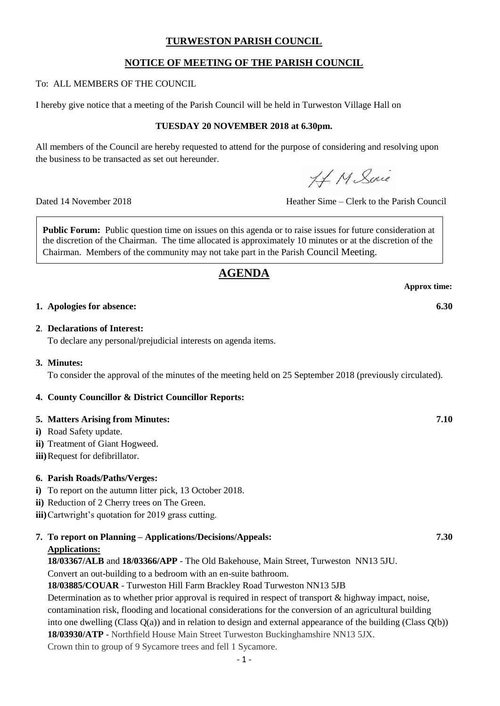# **TURWESTON PARISH COUNCIL**

# **NOTICE OF MEETING OF THE PARISH COUNCIL**

To: ALL MEMBERS OF THE COUNCIL

I hereby give notice that a meeting of the Parish Council will be held in Turweston Village Hall on

# **TUESDAY 20 NOVEMBER 2018 at 6.30pm.**

All members of the Council are hereby requested to attend for the purpose of considering and resolving upon the business to be transacted as set out hereunder.

H. M. Sine

Dated 14 November 2018 Heather Sime – Clerk to the Parish Council

**Public Forum:** Public question time on issues on this agenda or to raise issues for future consideration at the discretion of the Chairman. The time allocated is approximately 10 minutes or at the discretion of the Chairman. Members of the community may not take part in the Parish Council Meeting.

# **AGENDA**

**1. Apologies for absence: 6.30**

#### **2**. **Declarations of Interest:**

To declare any personal/prejudicial interests on agenda items.

#### **3. Minutes:**

To consider the approval of the minutes of the meeting held on 25 September 2018 (previously circulated).

# **4. County Councillor & District Councillor Reports:**

#### **5. Matters Arising from Minutes: 7.10**

- **i)** Road Safety update.
- **ii)** Treatment of Giant Hogweed.
- **iii)**Request for defibrillator.

# **6. Parish Roads/Paths/Verges:**

- **i)** To report on the autumn litter pick, 13 October 2018.
- **ii)** Reduction of 2 Cherry trees on The Green.

**iii)**Cartwright's quotation for 2019 grass cutting.

**7. To report on Planning – Applications/Decisions/Appeals: 7.30 Applications:**

**18/03367/ALB** and **18/03366/APP** - The Old Bakehouse, Main Street, Turweston NN13 5JU.

Convert an out-building to a bedroom with an en-suite bathroom.

**18/03885/COUAR** - Turweston Hill Farm Brackley Road Turweston NN13 5JB

Determination as to whether prior approval is required in respect of transport & highway impact, noise, contamination risk, flooding and locational considerations for the conversion of an agricultural building into one dwelling (Class Q(a)) and in relation to design and external appearance of the building (Class Q(b)) **18/03930/ATP** - Northfield House Main Street Turweston Buckinghamshire NN13 5JX.

Crown thin to group of 9 Sycamore trees and fell 1 Sycamore.

**Approx time:**